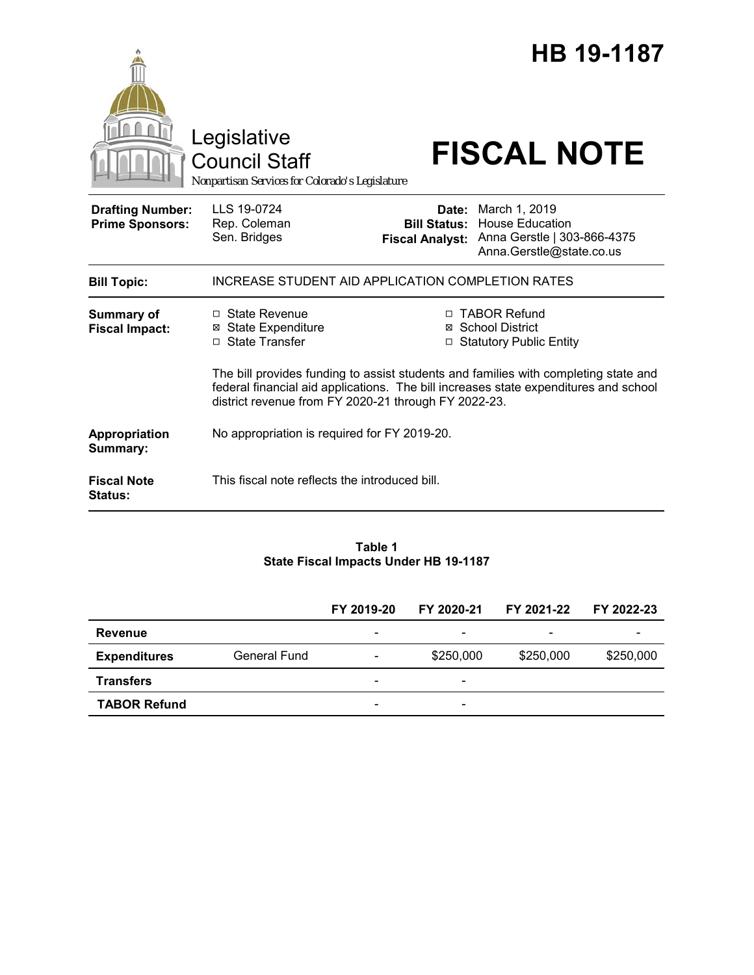|                                                   | Legislative<br><b>Council Staff</b><br>Nonpartisan Services for Colorado's Legislature               |                                               | <b>HB 19-1187</b><br><b>FISCAL NOTE</b>                                                                                                                                                                                                         |  |  |  |
|---------------------------------------------------|------------------------------------------------------------------------------------------------------|-----------------------------------------------|-------------------------------------------------------------------------------------------------------------------------------------------------------------------------------------------------------------------------------------------------|--|--|--|
| <b>Drafting Number:</b><br><b>Prime Sponsors:</b> | LLS 19-0724<br>Rep. Coleman<br>Sen. Bridges                                                          | <b>Bill Status:</b><br><b>Fiscal Analyst:</b> | Date: March 1, 2019<br><b>House Education</b><br>Anna Gerstle   303-866-4375<br>Anna.Gerstle@state.co.us                                                                                                                                        |  |  |  |
| <b>Bill Topic:</b>                                | INCREASE STUDENT AID APPLICATION COMPLETION RATES                                                    |                                               |                                                                                                                                                                                                                                                 |  |  |  |
| <b>Summary of</b><br><b>Fiscal Impact:</b>        | □ State Revenue<br><b>State Expenditure</b><br>⊠<br>□ State Transfer                                 |                                               | □ TABOR Refund<br>⊠ School District<br>□ Statutory Public Entity<br>The bill provides funding to assist students and families with completing state and<br>federal financial aid applications. The bill increases state expenditures and school |  |  |  |
| Appropriation<br>Summary:                         | district revenue from FY 2020-21 through FY 2022-23.<br>No appropriation is required for FY 2019-20. |                                               |                                                                                                                                                                                                                                                 |  |  |  |
| <b>Fiscal Note</b><br>Status:                     | This fiscal note reflects the introduced bill.                                                       |                                               |                                                                                                                                                                                                                                                 |  |  |  |

#### **Table 1 State Fiscal Impacts Under HB 19-1187**

|                     |              | FY 2019-20                   | FY 2020-21               | FY 2021-22               | FY 2022-23 |
|---------------------|--------------|------------------------------|--------------------------|--------------------------|------------|
| <b>Revenue</b>      |              | $\overline{\phantom{0}}$     | $\overline{\phantom{a}}$ | $\overline{\phantom{0}}$ |            |
| <b>Expenditures</b> | General Fund | $\overline{\phantom{a}}$     | \$250,000                | \$250,000                | \$250,000  |
| <b>Transfers</b>    |              | $\overline{\phantom{0}}$     | $\overline{\phantom{0}}$ |                          |            |
| <b>TABOR Refund</b> |              | $\qquad \qquad \blacksquare$ | $\overline{\phantom{a}}$ |                          |            |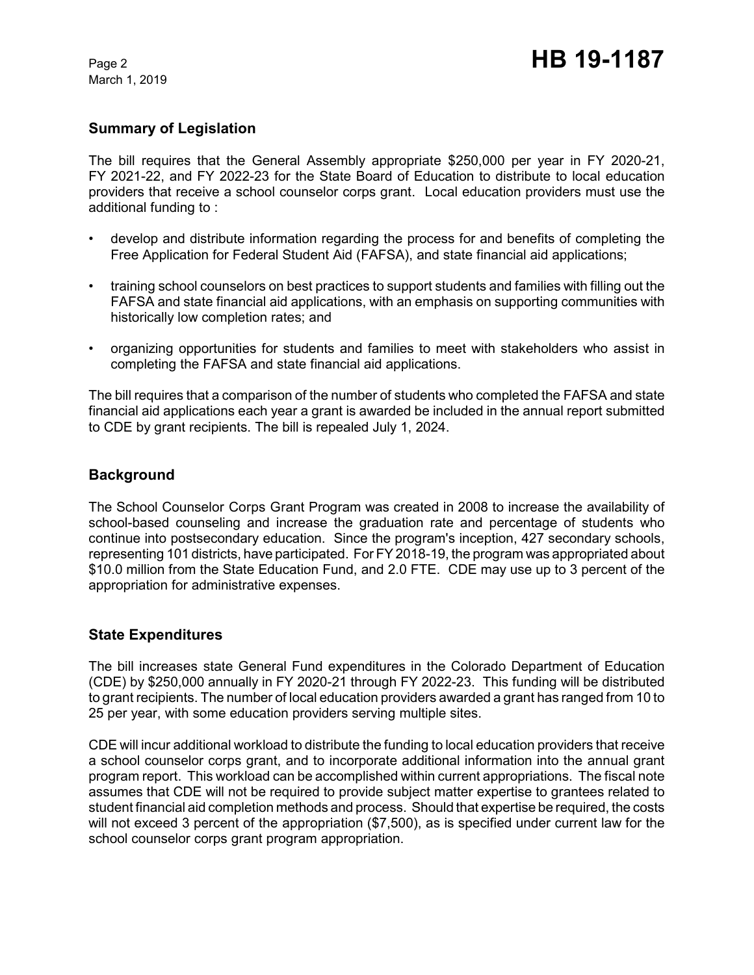March 1, 2019

# **Summary of Legislation**

The bill requires that the General Assembly appropriate \$250,000 per year in FY 2020-21, FY 2021-22, and FY 2022-23 for the State Board of Education to distribute to local education providers that receive a school counselor corps grant. Local education providers must use the additional funding to :

- develop and distribute information regarding the process for and benefits of completing the Free Application for Federal Student Aid (FAFSA), and state financial aid applications;
- training school counselors on best practices to support students and families with filling out the FAFSA and state financial aid applications, with an emphasis on supporting communities with historically low completion rates; and
- organizing opportunities for students and families to meet with stakeholders who assist in completing the FAFSA and state financial aid applications.

The bill requires that a comparison of the number of students who completed the FAFSA and state financial aid applications each year a grant is awarded be included in the annual report submitted to CDE by grant recipients. The bill is repealed July 1, 2024.

## **Background**

The School Counselor Corps Grant Program was created in 2008 to increase the availability of school-based counseling and increase the graduation rate and percentage of students who continue into postsecondary education. Since the program's inception, 427 secondary schools, representing 101 districts, have participated. For FY 2018-19, the program was appropriated about \$10.0 million from the State Education Fund, and 2.0 FTE. CDE may use up to 3 percent of the appropriation for administrative expenses.

## **State Expenditures**

The bill increases state General Fund expenditures in the Colorado Department of Education (CDE) by \$250,000 annually in FY 2020-21 through FY 2022-23. This funding will be distributed to grant recipients. The number of local education providers awarded a grant has ranged from 10 to 25 per year, with some education providers serving multiple sites.

CDE will incur additional workload to distribute the funding to local education providers that receive a school counselor corps grant, and to incorporate additional information into the annual grant program report. This workload can be accomplished within current appropriations. The fiscal note assumes that CDE will not be required to provide subject matter expertise to grantees related to student financial aid completion methods and process. Should that expertise be required, the costs will not exceed 3 percent of the appropriation (\$7,500), as is specified under current law for the school counselor corps grant program appropriation.